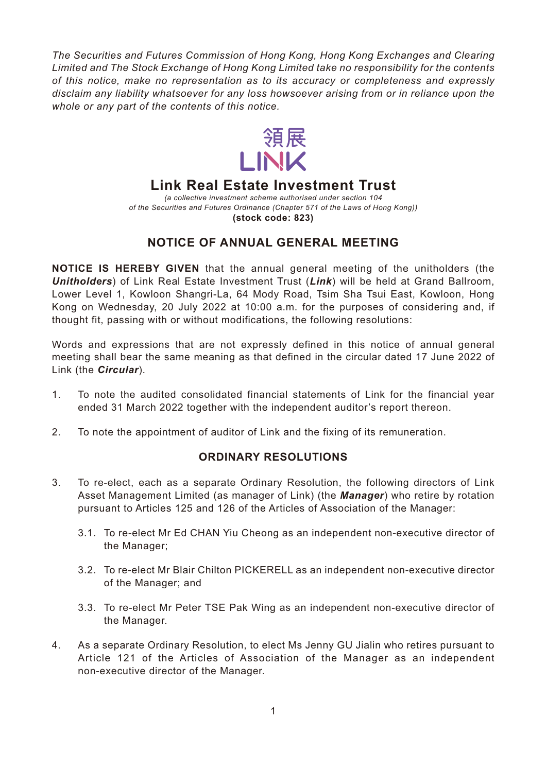*The Securities and Futures Commission of Hong Kong, Hong Kong Exchanges and Clearing Limited and The Stock Exchange of Hong Kong Limited take no responsibility for the contents of this notice, make no representation as to its accuracy or completeness and expressly disclaim any liability whatsoever for any loss howsoever arising from or in reliance upon the whole or any part of the contents of this notice.*



# **Link Real Estate Investment Trust**

*(a collective investment scheme authorised under section 104 of the Securities and Futures Ordinance (Chapter 571 of the Laws of Hong Kong))* **(stock code: 823)**

## **NOTICE OF ANNUAL GENERAL MEETING**

**NOTICE IS HEREBY GIVEN** that the annual general meeting of the unitholders (the *Unitholders*) of Link Real Estate Investment Trust (*Link*) will be held at Grand Ballroom, Lower Level 1, Kowloon Shangri-La, 64 Mody Road, Tsim Sha Tsui East, Kowloon, Hong Kong on Wednesday, 20 July 2022 at 10:00 a.m. for the purposes of considering and, if thought fit, passing with or without modifications, the following resolutions:

Words and expressions that are not expressly defined in this notice of annual general meeting shall bear the same meaning as that defined in the circular dated 17 June 2022 of Link (the *Circular*).

- 1. To note the audited consolidated financial statements of Link for the financial year ended 31 March 2022 together with the independent auditor's report thereon.
- 2. To note the appointment of auditor of Link and the fixing of its remuneration.

#### **ORDINARY RESOLUTIONS**

- 3. To re-elect, each as a separate Ordinary Resolution, the following directors of Link Asset Management Limited (as manager of Link) (the *Manager*) who retire by rotation pursuant to Articles 125 and 126 of the Articles of Association of the Manager:
	- 3.1. To re-elect Mr Ed CHAN Yiu Cheong as an independent non-executive director of the Manager;
	- 3.2. To re-elect Mr Blair Chilton PICKERELL as an independent non-executive director of the Manager; and
	- 3.3. To re-elect Mr Peter TSE Pak Wing as an independent non-executive director of the Manager.
- 4. As a separate Ordinary Resolution, to elect Ms Jenny GU Jialin who retires pursuant to Article 121 of the Articles of Association of the Manager as an independent non-executive director of the Manager.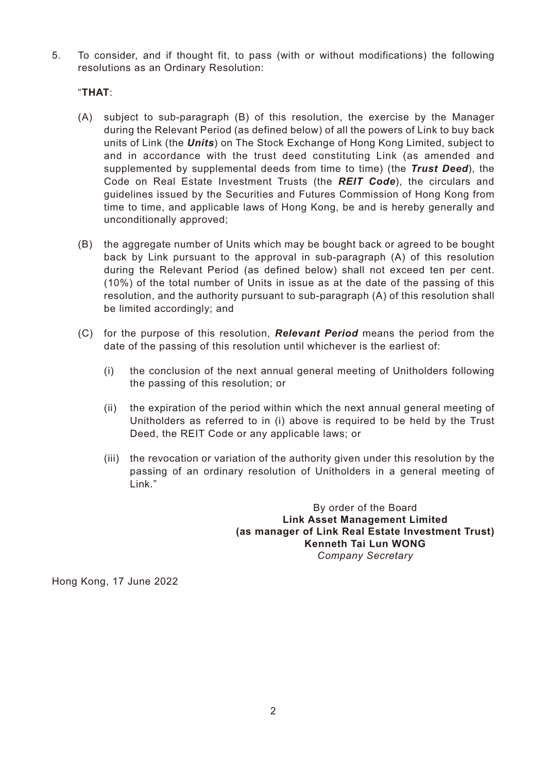5. To consider, and if thought fit, to pass (with or without modifications) the following resolutions as an Ordinary Resolution:

### "**THAT**:

- (A) subject to sub-paragraph (B) of this resolution, the exercise by the Manager during the Relevant Period (as defined below) of all the powers of Link to buy back units of Link (the *Units*) on The Stock Exchange of Hong Kong Limited, subject to and in accordance with the trust deed constituting Link (as amended and supplemented by supplemental deeds from time to time) (the *Trust Deed*), the Code on Real Estate Investment Trusts (the *REIT Code*), the circulars and guidelines issued by the Securities and Futures Commission of Hong Kong from time to time, and applicable laws of Hong Kong, be and is hereby generally and unconditionally approved;
- (B) the aggregate number of Units which may be bought back or agreed to be bought back by Link pursuant to the approval in sub-paragraph (A) of this resolution during the Relevant Period (as defined below) shall not exceed ten per cent. (10%) of the total number of Units in issue as at the date of the passing of this resolution, and the authority pursuant to sub-paragraph (A) of this resolution shall be limited accordingly; and
- (C) for the purpose of this resolution, *Relevant Period* means the period from the date of the passing of this resolution until whichever is the earliest of:
	- (i) the conclusion of the next annual general meeting of Unitholders following the passing of this resolution; or
	- (ii) the expiration of the period within which the next annual general meeting of Unitholders as referred to in (i) above is required to be held by the Trust Deed, the REIT Code or any applicable laws; or
	- (iii) the revocation or variation of the authority given under this resolution by the passing of an ordinary resolution of Unitholders in a general meeting of Link."

By order of the Board **Link Asset Management Limited (as manager of Link Real Estate Investment Trust) Kenneth Tai Lun WONG** *Company Secretary*

Hong Kong, 17 June 2022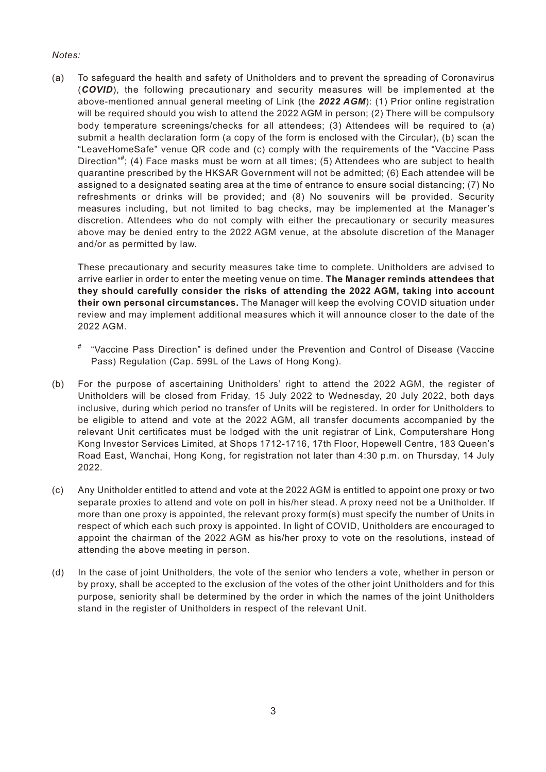#### *Notes:*

(a) To safeguard the health and safety of Unitholders and to prevent the spreading of Coronavirus (*COVID*), the following precautionary and security measures will be implemented at the above-mentioned annual general meeting of Link (the *2022 AGM*): (1) Prior online registration will be required should you wish to attend the 2022 AGM in person; (2) There will be compulsory body temperature screenings/checks for all attendees; (3) Attendees will be required to (a) submit a health declaration form (a copy of the form is enclosed with the Circular), (b) scan the "LeaveHomeSafe" venue QR code and (c) comply with the requirements of the "Vaccine Pass Direction"#; (4) Face masks must be worn at all times; (5) Attendees who are subject to health quarantine prescribed by the HKSAR Government will not be admitted; (6) Each attendee will be assigned to a designated seating area at the time of entrance to ensure social distancing; (7) No refreshments or drinks will be provided; and (8) No souvenirs will be provided. Security measures including, but not limited to bag checks, may be implemented at the Manager's discretion. Attendees who do not comply with either the precautionary or security measures above may be denied entry to the 2022 AGM venue, at the absolute discretion of the Manager and/or as permitted by law.

These precautionary and security measures take time to complete. Unitholders are advised to arrive earlier in order to enter the meeting venue on time. **The Manager reminds attendees that they should carefully consider the risks of attending the 2022 AGM, taking into account their own personal circumstances.** The Manager will keep the evolving COVID situation under review and may implement additional measures which it will announce closer to the date of the 2022 AGM.

- # "Vaccine Pass Direction" is defined under the Prevention and Control of Disease (Vaccine Pass) Regulation (Cap. 599L of the Laws of Hong Kong).
- (b) For the purpose of ascertaining Unitholders' right to attend the 2022 AGM, the register of Unitholders will be closed from Friday, 15 July 2022 to Wednesday, 20 July 2022, both days inclusive, during which period no transfer of Units will be registered. In order for Unitholders to be eligible to attend and vote at the 2022 AGM, all transfer documents accompanied by the relevant Unit certificates must be lodged with the unit registrar of Link, Computershare Hong Kong Investor Services Limited, at Shops 1712-1716, 17th Floor, Hopewell Centre, 183 Queen's Road East, Wanchai, Hong Kong, for registration not later than 4:30 p.m. on Thursday, 14 July 2022.
- (c) Any Unitholder entitled to attend and vote at the 2022 AGM is entitled to appoint one proxy or two separate proxies to attend and vote on poll in his/her stead. A proxy need not be a Unitholder. If more than one proxy is appointed, the relevant proxy form(s) must specify the number of Units in respect of which each such proxy is appointed. In light of COVID, Unitholders are encouraged to appoint the chairman of the 2022 AGM as his/her proxy to vote on the resolutions, instead of attending the above meeting in person.
- (d) In the case of joint Unitholders, the vote of the senior who tenders a vote, whether in person or by proxy, shall be accepted to the exclusion of the votes of the other joint Unitholders and for this purpose, seniority shall be determined by the order in which the names of the joint Unitholders stand in the register of Unitholders in respect of the relevant Unit.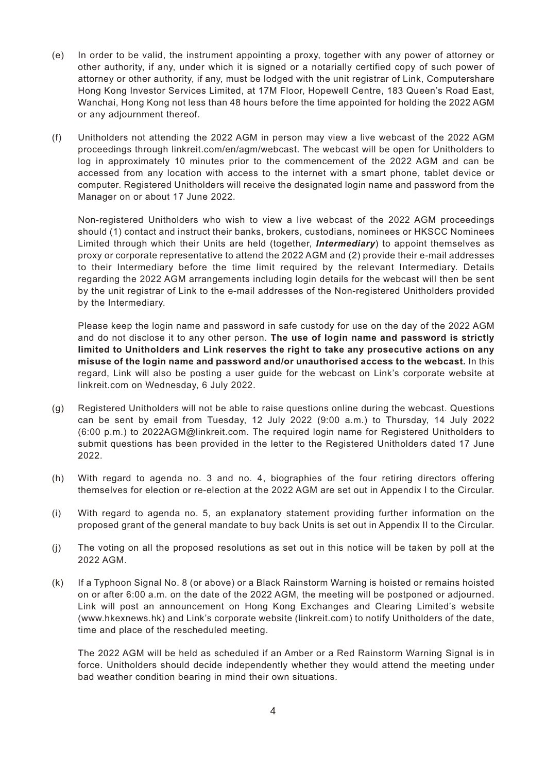- (e) In order to be valid, the instrument appointing a proxy, together with any power of attorney or other authority, if any, under which it is signed or a notarially certified copy of such power of attorney or other authority, if any, must be lodged with the unit registrar of Link, Computershare Hong Kong Investor Services Limited, at 17M Floor, Hopewell Centre, 183 Queen's Road East, Wanchai, Hong Kong not less than 48 hours before the time appointed for holding the 2022 AGM or any adjournment thereof.
- (f) Unitholders not attending the 2022 AGM in person may view a live webcast of the 2022 AGM proceedings through linkreit.com/en/agm/webcast. The webcast will be open for Unitholders to log in approximately 10 minutes prior to the commencement of the 2022 AGM and can be accessed from any location with access to the internet with a smart phone, tablet device or computer. Registered Unitholders will receive the designated login name and password from the Manager on or about 17 June 2022.

Non-registered Unitholders who wish to view a live webcast of the 2022 AGM proceedings should (1) contact and instruct their banks, brokers, custodians, nominees or HKSCC Nominees Limited through which their Units are held (together, *Intermediary*) to appoint themselves as proxy or corporate representative to attend the 2022 AGM and (2) provide their e-mail addresses to their Intermediary before the time limit required by the relevant Intermediary. Details regarding the 2022 AGM arrangements including login details for the webcast will then be sent by the unit registrar of Link to the e-mail addresses of the Non-registered Unitholders provided by the Intermediary.

Please keep the login name and password in safe custody for use on the day of the 2022 AGM and do not disclose it to any other person. **The use of login name and password is strictly limited to Unitholders and Link reserves the right to take any prosecutive actions on any misuse of the login name and password and/or unauthorised access to the webcast.** In this regard, Link will also be posting a user guide for the webcast on Link's corporate website at linkreit.com on Wednesday, 6 July 2022.

- (g) Registered Unitholders will not be able to raise questions online during the webcast. Questions can be sent by email from Tuesday, 12 July 2022 (9:00 a.m.) to Thursday, 14 July 2022 (6:00 p.m.) to 2022AGM@linkreit.com. The required login name for Registered Unitholders to submit questions has been provided in the letter to the Registered Unitholders dated 17 June 2022.
- (h) With regard to agenda no. 3 and no. 4, biographies of the four retiring directors offering themselves for election or re-election at the 2022 AGM are set out in Appendix I to the Circular.
- (i) With regard to agenda no. 5, an explanatory statement providing further information on the proposed grant of the general mandate to buy back Units is set out in Appendix II to the Circular.
- (j) The voting on all the proposed resolutions as set out in this notice will be taken by poll at the 2022 AGM.
- (k) If a Typhoon Signal No. 8 (or above) or a Black Rainstorm Warning is hoisted or remains hoisted on or after 6:00 a.m. on the date of the 2022 AGM, the meeting will be postponed or adjourned. Link will post an announcement on Hong Kong Exchanges and Clearing Limited's website (www.hkexnews.hk) and Link's corporate website (linkreit.com) to notify Unitholders of the date, time and place of the rescheduled meeting.

The 2022 AGM will be held as scheduled if an Amber or a Red Rainstorm Warning Signal is in force. Unitholders should decide independently whether they would attend the meeting under bad weather condition bearing in mind their own situations.